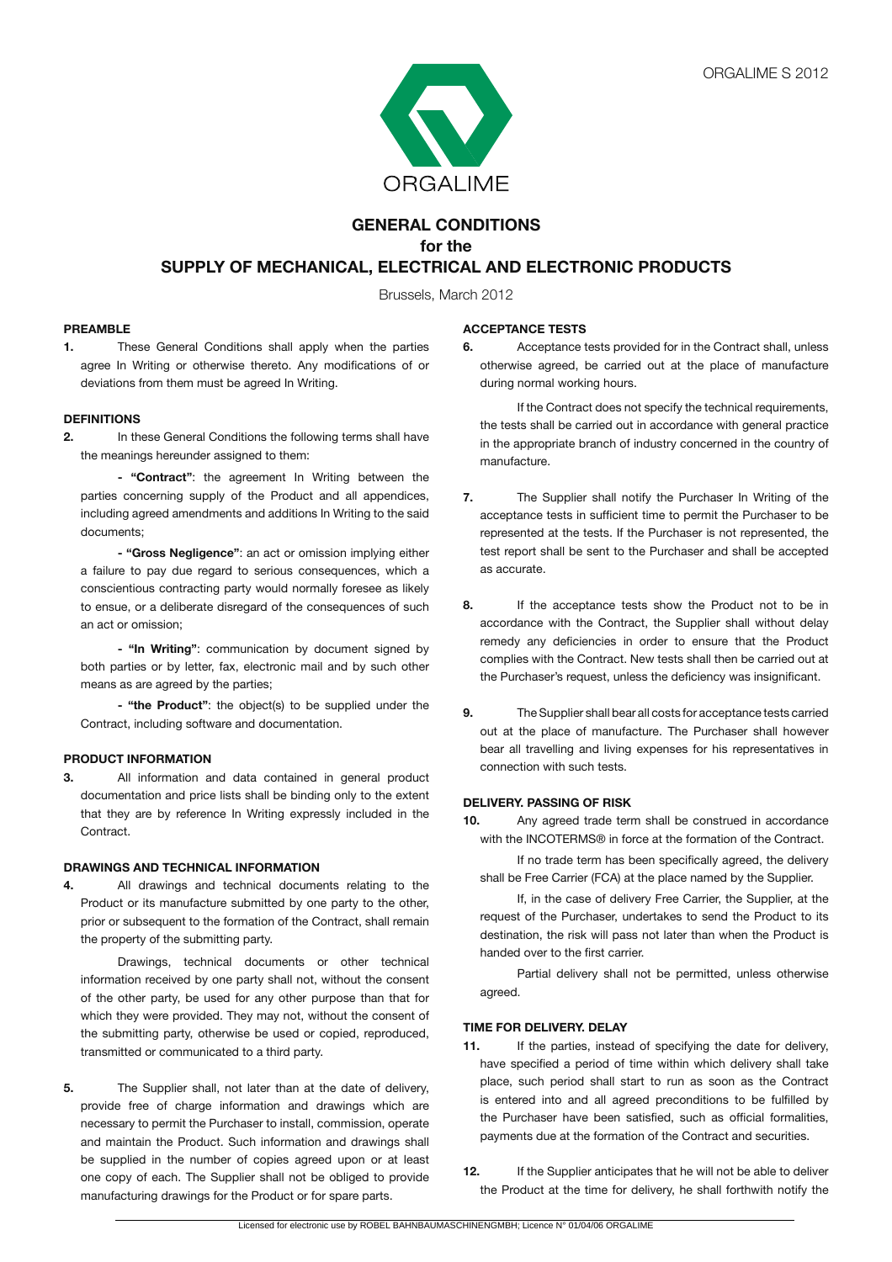

# **GENERAL CONDITIONS for the SUPPLY OF MECHANICAL, ELECTRICAL AND ELECTRONIC PRODUCTS**

Brussels, March 2012

# **PREAMBLE**

**1.** These General Conditions shall apply when the parties agree In Writing or otherwise thereto. Any modifications of or deviations from them must be agreed In Writing.

# **DEFINITIONS**

**2.** In these General Conditions the following terms shall have the meanings hereunder assigned to them:

**- "Contract"**: the agreement In Writing between the parties concerning supply of the Product and all appendices, including agreed amendments and additions In Writing to the said documents;

**- "Gross Negligence"**: an act or omission implying either a failure to pay due regard to serious consequences, which a conscientious contracting party would normally foresee as likely to ensue, or a deliberate disregard of the consequences of such an act or omission;

 **- "In Writing"**: communication by document signed by both parties or by letter, fax, electronic mail and by such other means as are agreed by the parties;

**- "the Product"**: the object(s) to be supplied under the Contract, including software and documentation.

# **PRODUCT INFORMATION**

**3.** All information and data contained in general product documentation and price lists shall be binding only to the extent that they are by reference In Writing expressly included in the Contract.

# **DRAWINGS AND TECHNICAL INFORMATION**

**4.** All drawings and technical documents relating to the Product or its manufacture submitted by one party to the other, prior or subsequent to the formation of the Contract, shall remain the property of the submitting party.

 Drawings, technical documents or other technical information received by one party shall not, without the consent of the other party, be used for any other purpose than that for which they were provided. They may not, without the consent of the submitting party, otherwise be used or copied, reproduced, transmitted or communicated to a third party.

**5.** The Supplier shall, not later than at the date of delivery, provide free of charge information and drawings which are necessary to permit the Purchaser to install, commission, operate and maintain the Product. Such information and drawings shall be supplied in the number of copies agreed upon or at least one copy of each. The Supplier shall not be obliged to provide manufacturing drawings for the Product or for spare parts.

# **ACCEPTANCE TESTS**

**6.** Acceptance tests provided for in the Contract shall, unless otherwise agreed, be carried out at the place of manufacture during normal working hours.

 If the Contract does not specify the technical requirements, the tests shall be carried out in accordance with general practice in the appropriate branch of industry concerned in the country of manufacture.

- **7.** The Supplier shall notify the Purchaser In Writing of the acceptance tests in sufficient time to permit the Purchaser to be represented at the tests. If the Purchaser is not represented, the test report shall be sent to the Purchaser and shall be accepted as accurate.
- **8.** If the acceptance tests show the Product not to be in accordance with the Contract, the Supplier shall without delay remedy any deficiencies in order to ensure that the Product complies with the Contract. New tests shall then be carried out at the Purchaser's request, unless the deficiency was insignificant.
- **9.** The Supplier shall bear all costs for acceptance tests carried out at the place of manufacture. The Purchaser shall however bear all travelling and living expenses for his representatives in connection with such tests.

# **DELIVERY. PASSING OF RISK**

**10.** Any agreed trade term shall be construed in accordance with the INCOTERMS® in force at the formation of the Contract.

 If no trade term has been specifically agreed, the delivery shall be Free Carrier (FCA) at the place named by the Supplier.

 If, in the case of delivery Free Carrier, the Supplier, at the request of the Purchaser, undertakes to send the Product to its destination, the risk will pass not later than when the Product is handed over to the first carrier.

 Partial delivery shall not be permitted, unless otherwise agreed.

# **TIME FOR DELIVERY. DELAY**

- **11.** If the parties, instead of specifying the date for delivery, have specified a period of time within which delivery shall take place, such period shall start to run as soon as the Contract is entered into and all agreed preconditions to be fulfilled by the Purchaser have been satisfied, such as official formalities, payments due at the formation of the Contract and securities.
- **12.** If the Supplier anticipates that he will not be able to deliver the Product at the time for delivery, he shall forthwith notify the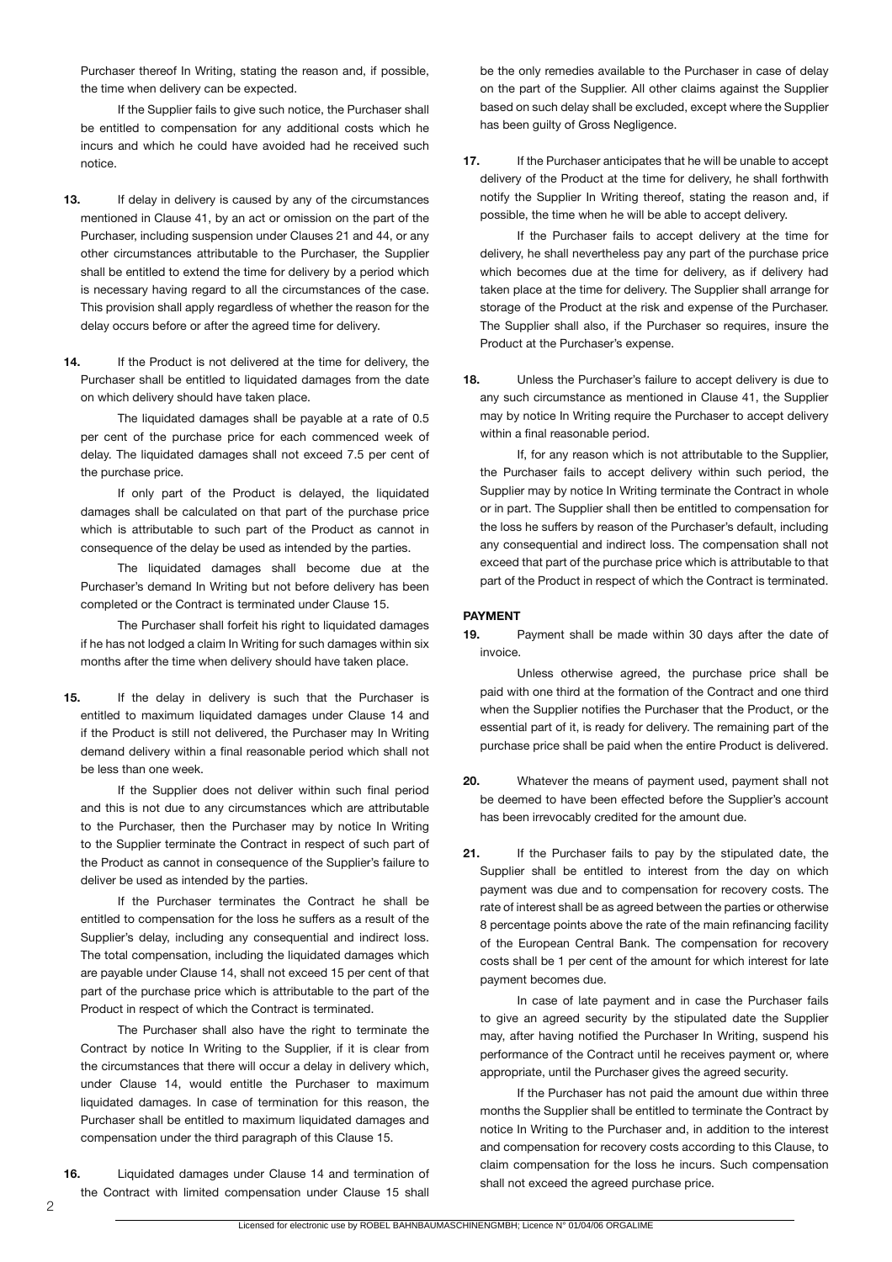Purchaser thereof In Writing, stating the reason and, if possible, the time when delivery can be expected.

 If the Supplier fails to give such notice, the Purchaser shall be entitled to compensation for any additional costs which he incurs and which he could have avoided had he received such notice.

- **13.** If delay in delivery is caused by any of the circumstances mentioned in Clause 41, by an act or omission on the part of the Purchaser, including suspension under Clauses 21 and 44, or any other circumstances attributable to the Purchaser, the Supplier shall be entitled to extend the time for delivery by a period which is necessary having regard to all the circumstances of the case. This provision shall apply regardless of whether the reason for the delay occurs before or after the agreed time for delivery.
- 14. If the Product is not delivered at the time for delivery, the Purchaser shall be entitled to liquidated damages from the date on which delivery should have taken place.

 The liquidated damages shall be payable at a rate of 0.5 per cent of the purchase price for each commenced week of delay. The liquidated damages shall not exceed 7.5 per cent of the purchase price.

 If only part of the Product is delayed, the liquidated damages shall be calculated on that part of the purchase price which is attributable to such part of the Product as cannot in consequence of the delay be used as intended by the parties.

 The liquidated damages shall become due at the Purchaser's demand In Writing but not before delivery has been completed or the Contract is terminated under Clause 15.

 The Purchaser shall forfeit his right to liquidated damages if he has not lodged a claim In Writing for such damages within six months after the time when delivery should have taken place.

**15.** If the delay in delivery is such that the Purchaser is entitled to maximum liquidated damages under Clause 14 and if the Product is still not delivered, the Purchaser may In Writing demand delivery within a final reasonable period which shall not be less than one week.

 If the Supplier does not deliver within such final period and this is not due to any circumstances which are attributable to the Purchaser, then the Purchaser may by notice In Writing to the Supplier terminate the Contract in respect of such part of the Product as cannot in consequence of the Supplier's failure to deliver be used as intended by the parties.

 If the Purchaser terminates the Contract he shall be entitled to compensation for the loss he suffers as a result of the Supplier's delay, including any consequential and indirect loss. The total compensation, including the liquidated damages which are payable under Clause 14, shall not exceed 15 per cent of that part of the purchase price which is attributable to the part of the Product in respect of which the Contract is terminated.

 The Purchaser shall also have the right to terminate the Contract by notice In Writing to the Supplier, if it is clear from the circumstances that there will occur a delay in delivery which, under Clause 14, would entitle the Purchaser to maximum liquidated damages. In case of termination for this reason, the Purchaser shall be entitled to maximum liquidated damages and compensation under the third paragraph of this Clause 15.

**16.** Liquidated damages under Clause 14 and termination of the Contract with limited compensation under Clause 15 shall

be the only remedies available to the Purchaser in case of delay on the part of the Supplier. All other claims against the Supplier based on such delay shall be excluded, except where the Supplier has been guilty of Gross Negligence.

**17.** If the Purchaser anticipates that he will be unable to accept delivery of the Product at the time for delivery, he shall forthwith notify the Supplier In Writing thereof, stating the reason and, if possible, the time when he will be able to accept delivery.

 If the Purchaser fails to accept delivery at the time for delivery, he shall nevertheless pay any part of the purchase price which becomes due at the time for delivery, as if delivery had taken place at the time for delivery. The Supplier shall arrange for storage of the Product at the risk and expense of the Purchaser. The Supplier shall also, if the Purchaser so requires, insure the Product at the Purchaser's expense.

**18.** Unless the Purchaser's failure to accept delivery is due to any such circumstance as mentioned in Clause 41, the Supplier may by notice In Writing require the Purchaser to accept delivery within a final reasonable period.

 If, for any reason which is not attributable to the Supplier, the Purchaser fails to accept delivery within such period, the Supplier may by notice In Writing terminate the Contract in whole or in part. The Supplier shall then be entitled to compensation for the loss he suffers by reason of the Purchaser's default, including any consequential and indirect loss. The compensation shall not exceed that part of the purchase price which is attributable to that part of the Product in respect of which the Contract is terminated.

# **PAYMENT**

**19.** Payment shall be made within 30 days after the date of invoice.

 Unless otherwise agreed, the purchase price shall be paid with one third at the formation of the Contract and one third when the Supplier notifies the Purchaser that the Product, or the essential part of it, is ready for delivery. The remaining part of the purchase price shall be paid when the entire Product is delivered.

- **20.** Whatever the means of payment used, payment shall not be deemed to have been effected before the Supplier's account has been irrevocably credited for the amount due.
- **21.** If the Purchaser fails to pay by the stipulated date, the Supplier shall be entitled to interest from the day on which payment was due and to compensation for recovery costs. The rate of interest shall be as agreed between the parties or otherwise 8 percentage points above the rate of the main refinancing facility of the European Central Bank. The compensation for recovery costs shall be 1 per cent of the amount for which interest for late payment becomes due.

 In case of late payment and in case the Purchaser fails to give an agreed security by the stipulated date the Supplier may, after having notified the Purchaser In Writing, suspend his performance of the Contract until he receives payment or, where appropriate, until the Purchaser gives the agreed security.

 If the Purchaser has not paid the amount due within three months the Supplier shall be entitled to terminate the Contract by notice In Writing to the Purchaser and, in addition to the interest and compensation for recovery costs according to this Clause, to claim compensation for the loss he incurs. Such compensation shall not exceed the agreed purchase price.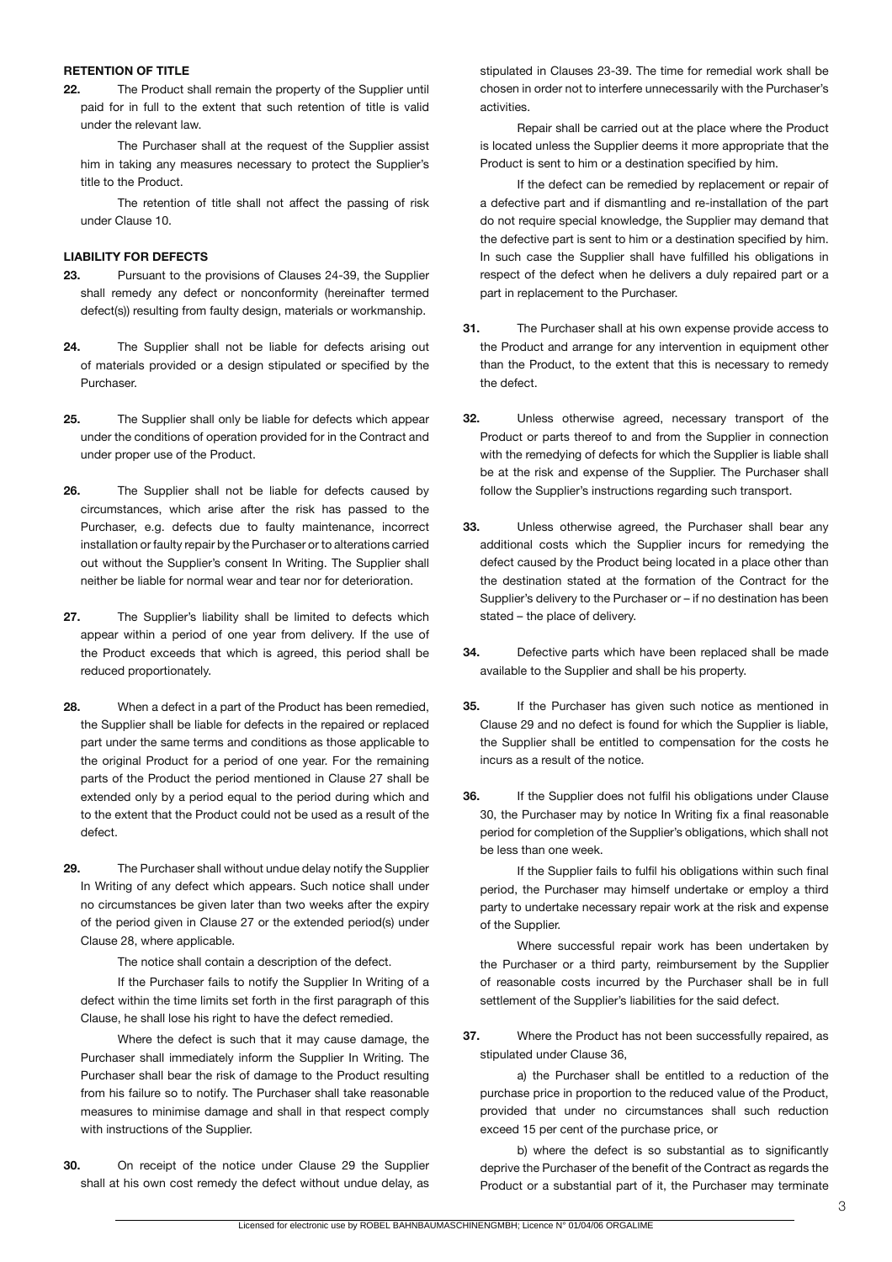#### **RETENTION OF TITLE**

**22.** The Product shall remain the property of the Supplier until paid for in full to the extent that such retention of title is valid under the relevant law.

 The Purchaser shall at the request of the Supplier assist him in taking any measures necessary to protect the Supplier's title to the Product.

 The retention of title shall not affect the passing of risk under Clause 10.

# **LIABILITY FOR DEFECTS**

- **23.** Pursuant to the provisions of Clauses 24-39, the Supplier shall remedy any defect or nonconformity (hereinafter termed defect(s)) resulting from faulty design, materials or workmanship.
- **24.** The Supplier shall not be liable for defects arising out of materials provided or a design stipulated or specified by the Purchaser.
- **25.** The Supplier shall only be liable for defects which appear under the conditions of operation provided for in the Contract and under proper use of the Product.
- **26.** The Supplier shall not be liable for defects caused by circumstances, which arise after the risk has passed to the Purchaser, e.g. defects due to faulty maintenance, incorrect installation or faulty repair by the Purchaser or to alterations carried out without the Supplier's consent In Writing. The Supplier shall neither be liable for normal wear and tear nor for deterioration.
- **27.** The Supplier's liability shall be limited to defects which appear within a period of one year from delivery. If the use of the Product exceeds that which is agreed, this period shall be reduced proportionately.
- **28.** When a defect in a part of the Product has been remedied, the Supplier shall be liable for defects in the repaired or replaced part under the same terms and conditions as those applicable to the original Product for a period of one year. For the remaining parts of the Product the period mentioned in Clause 27 shall be extended only by a period equal to the period during which and to the extent that the Product could not be used as a result of the defect.
- **29.** The Purchaser shall without undue delay notify the Supplier In Writing of any defect which appears. Such notice shall under no circumstances be given later than two weeks after the expiry of the period given in Clause 27 or the extended period(s) under Clause 28, where applicable.

 The notice shall contain a description of the defect.

 If the Purchaser fails to notify the Supplier In Writing of a defect within the time limits set forth in the first paragraph of this Clause, he shall lose his right to have the defect remedied.

 Where the defect is such that it may cause damage, the Purchaser shall immediately inform the Supplier In Writing. The Purchaser shall bear the risk of damage to the Product resulting from his failure so to notify. The Purchaser shall take reasonable measures to minimise damage and shall in that respect comply with instructions of the Supplier.

**30.** On receipt of the notice under Clause 29 the Supplier shall at his own cost remedy the defect without undue delay, as

stipulated in Clauses 23-39. The time for remedial work shall be chosen in order not to interfere unnecessarily with the Purchaser's activities.

 Repair shall be carried out at the place where the Product is located unless the Supplier deems it more appropriate that the Product is sent to him or a destination specified by him.

 If the defect can be remedied by replacement or repair of a defective part and if dismantling and re-installation of the part do not require special knowledge, the Supplier may demand that the defective part is sent to him or a destination specified by him. In such case the Supplier shall have fulfilled his obligations in respect of the defect when he delivers a duly repaired part or a part in replacement to the Purchaser.

- **31.** The Purchaser shall at his own expense provide access to the Product and arrange for any intervention in equipment other than the Product, to the extent that this is necessary to remedy the defect.
- **32.** Unless otherwise agreed, necessary transport of the Product or parts thereof to and from the Supplier in connection with the remedying of defects for which the Supplier is liable shall be at the risk and expense of the Supplier. The Purchaser shall follow the Supplier's instructions regarding such transport.
- **33.** Unless otherwise agreed, the Purchaser shall bear any additional costs which the Supplier incurs for remedying the defect caused by the Product being located in a place other than the destination stated at the formation of the Contract for the Supplier's delivery to the Purchaser or – if no destination has been stated – the place of delivery.
- **34.** Defective parts which have been replaced shall be made available to the Supplier and shall be his property.
- **35.** If the Purchaser has given such notice as mentioned in Clause 29 and no defect is found for which the Supplier is liable, the Supplier shall be entitled to compensation for the costs he incurs as a result of the notice.
- **36.** If the Supplier does not fulfil his obligations under Clause 30, the Purchaser may by notice In Writing fix a final reasonable period for completion of the Supplier's obligations, which shall not be less than one week.

 If the Supplier fails to fulfil his obligations within such final period, the Purchaser may himself undertake or employ a third party to undertake necessary repair work at the risk and expense of the Supplier.

 Where successful repair work has been undertaken by the Purchaser or a third party, reimbursement by the Supplier of reasonable costs incurred by the Purchaser shall be in full settlement of the Supplier's liabilities for the said defect.

**37.** Where the Product has not been successfully repaired, as stipulated under Clause 36,

 a) the Purchaser shall be entitled to a reduction of the purchase price in proportion to the reduced value of the Product, provided that under no circumstances shall such reduction exceed 15 per cent of the purchase price, or

b) where the defect is so substantial as to significantly deprive the Purchaser of the benefit of the Contract as regards the Product or a substantial part of it, the Purchaser may terminate